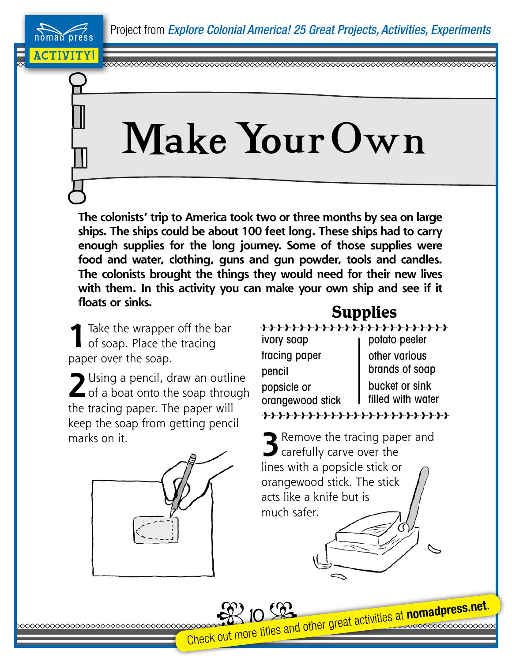## Make Your Own

**The colonists' trip to America took two or three months by sea on large ships. The ships could be about 100 feet long. These ships had to carry enough supplies for the long journey. Some of those supplies were food and water, clothing, guns and gun powder, tools and candles. The colonists brought the things they would need for their new lives with them. In this activity you can make your own ship and see if it floats or sinks.**

 **1** Take the wrapper off the bar of soap. Place the tracing paper over the soap.

ACTIVITY!

nomad press

**2** Using a pencil, draw an outline  $\blacktriangle$  of a boat onto the soap through the tracing paper. The paper will keep the soap from getting pencil marks on it. **3 <b>3 3 3 3 3** Remove the tracing paper and



## **Supplies**

ivory soap tracing paper pencil popsicle or orangewood stick

potato peeler other various brands of soap bucket or sink filled with water

**Carefully carve over the** lines with a popsicle stick or orangewood stick. The stick acts like a knife but is much safer.